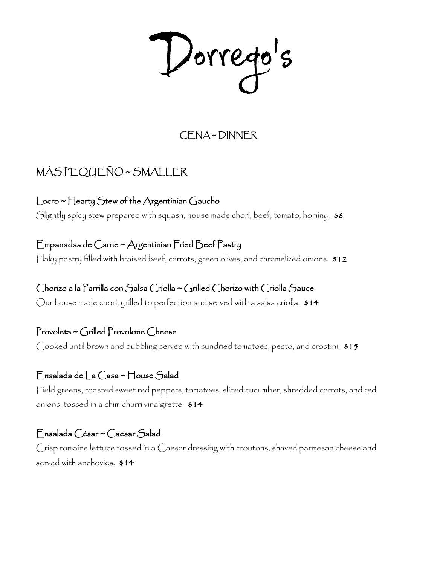Dorrego's

# CENA ~ DINNER

# MÁS PEQUEÑO ~ SMALLER

Locro ~ Hearty Stew of the Argentinian Gaucho Slightly spicy stew prepared with squash, house made chori, beef, tomato, hominy. \$8

Empanadas de Carne ~ Argentinian Fried Beef Pastry Flaky pastry filled with braised beef, carrots, green olives, and caramelized onions. \$12

Chorizo a la Parrilla con Salsa Criolla ~ Grilled Chorizo with Criolla Sauce Our house made chori, grilled to perfection and served with a salsa criolla.  $\$14$ 

Provoleta ~ Grilled Provolone Cheese Cooked until brown and bubbling served with sundried tomatoes, pesto, and crostini. \$15

### Ensalada de La Casa ~ House Salad

Field greens, roasted sweet red peppers, tomatoes, sliced cucumber, shredded carrots, and red onions, tossed in a chimichurri vinaigrette. \$14

#### Ensalada César ~ Caesar Salad

Crisp romaine lettuce tossed in a Caesar dressing with croutons, shaved parmesan cheese and served with anchovies. \$14